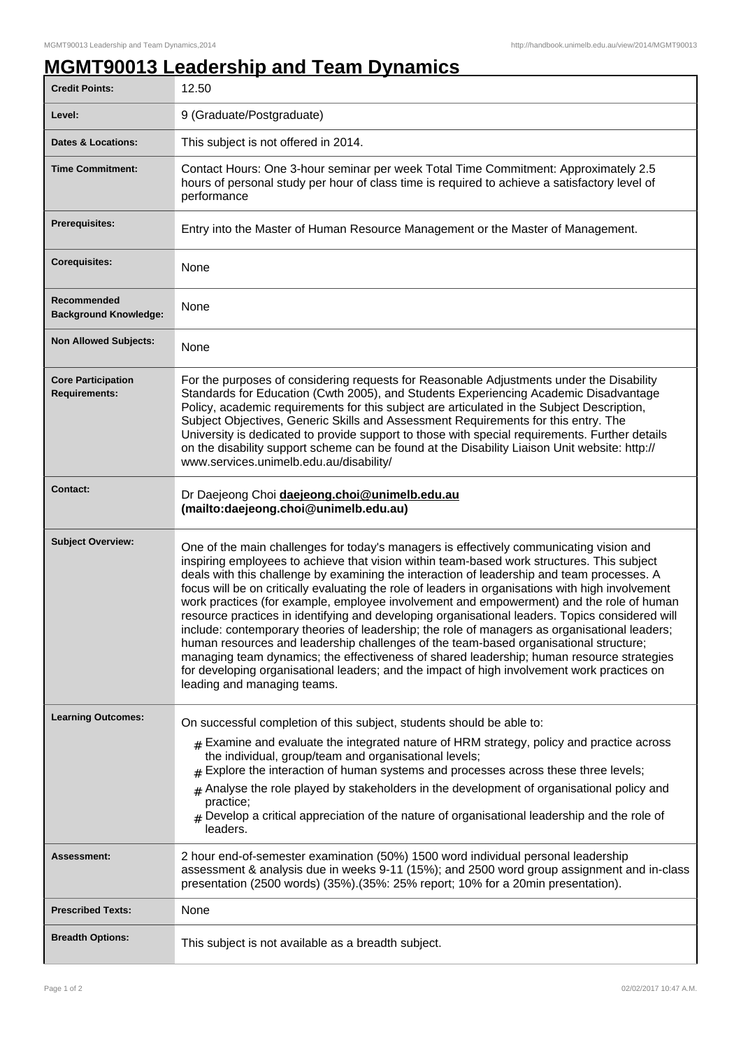## **MGMT90013 Leadership and Team Dynamics**

| <b>Credit Points:</b>                             | 12.50                                                                                                                                                                                                                                                                                                                                                                                                                                                                                                                                                                                                                                                                                                                                                                                                                                                                                                                                                                                                        |
|---------------------------------------------------|--------------------------------------------------------------------------------------------------------------------------------------------------------------------------------------------------------------------------------------------------------------------------------------------------------------------------------------------------------------------------------------------------------------------------------------------------------------------------------------------------------------------------------------------------------------------------------------------------------------------------------------------------------------------------------------------------------------------------------------------------------------------------------------------------------------------------------------------------------------------------------------------------------------------------------------------------------------------------------------------------------------|
| Level:                                            | 9 (Graduate/Postgraduate)                                                                                                                                                                                                                                                                                                                                                                                                                                                                                                                                                                                                                                                                                                                                                                                                                                                                                                                                                                                    |
| <b>Dates &amp; Locations:</b>                     | This subject is not offered in 2014.                                                                                                                                                                                                                                                                                                                                                                                                                                                                                                                                                                                                                                                                                                                                                                                                                                                                                                                                                                         |
| <b>Time Commitment:</b>                           | Contact Hours: One 3-hour seminar per week Total Time Commitment: Approximately 2.5<br>hours of personal study per hour of class time is required to achieve a satisfactory level of<br>performance                                                                                                                                                                                                                                                                                                                                                                                                                                                                                                                                                                                                                                                                                                                                                                                                          |
| Prerequisites:                                    | Entry into the Master of Human Resource Management or the Master of Management.                                                                                                                                                                                                                                                                                                                                                                                                                                                                                                                                                                                                                                                                                                                                                                                                                                                                                                                              |
| <b>Corequisites:</b>                              | None                                                                                                                                                                                                                                                                                                                                                                                                                                                                                                                                                                                                                                                                                                                                                                                                                                                                                                                                                                                                         |
| Recommended<br><b>Background Knowledge:</b>       | None                                                                                                                                                                                                                                                                                                                                                                                                                                                                                                                                                                                                                                                                                                                                                                                                                                                                                                                                                                                                         |
| <b>Non Allowed Subjects:</b>                      | None                                                                                                                                                                                                                                                                                                                                                                                                                                                                                                                                                                                                                                                                                                                                                                                                                                                                                                                                                                                                         |
| <b>Core Participation</b><br><b>Requirements:</b> | For the purposes of considering requests for Reasonable Adjustments under the Disability<br>Standards for Education (Cwth 2005), and Students Experiencing Academic Disadvantage<br>Policy, academic requirements for this subject are articulated in the Subject Description,<br>Subject Objectives, Generic Skills and Assessment Requirements for this entry. The<br>University is dedicated to provide support to those with special requirements. Further details<br>on the disability support scheme can be found at the Disability Liaison Unit website: http://<br>www.services.unimelb.edu.au/disability/                                                                                                                                                                                                                                                                                                                                                                                           |
| <b>Contact:</b>                                   | Dr Daejeong Choi daejeong.choi@unimelb.edu.au<br>(mailto:daejeong.choi@unimelb.edu.au)                                                                                                                                                                                                                                                                                                                                                                                                                                                                                                                                                                                                                                                                                                                                                                                                                                                                                                                       |
| <b>Subject Overview:</b>                          | One of the main challenges for today's managers is effectively communicating vision and<br>inspiring employees to achieve that vision within team-based work structures. This subject<br>deals with this challenge by examining the interaction of leadership and team processes. A<br>focus will be on critically evaluating the role of leaders in organisations with high involvement<br>work practices (for example, employee involvement and empowerment) and the role of human<br>resource practices in identifying and developing organisational leaders. Topics considered will<br>include: contemporary theories of leadership; the role of managers as organisational leaders;<br>human resources and leadership challenges of the team-based organisational structure;<br>managing team dynamics; the effectiveness of shared leadership; human resource strategies<br>for developing organisational leaders; and the impact of high involvement work practices on<br>leading and managing teams. |
| <b>Learning Outcomes:</b>                         | On successful completion of this subject, students should be able to:<br>$_{\text{\#}}$ Examine and evaluate the integrated nature of HRM strategy, policy and practice across<br>the individual, group/team and organisational levels;<br>$#$ Explore the interaction of human systems and processes across these three levels;<br>$#$ Analyse the role played by stakeholders in the development of organisational policy and<br>practice;<br>$_{\#}$ Develop a critical appreciation of the nature of organisational leadership and the role of<br>leaders.                                                                                                                                                                                                                                                                                                                                                                                                                                               |
| Assessment:                                       | 2 hour end-of-semester examination (50%) 1500 word individual personal leadership<br>assessment & analysis due in weeks 9-11 (15%); and 2500 word group assignment and in-class<br>presentation (2500 words) (35%). (35%: 25% report; 10% for a 20min presentation).                                                                                                                                                                                                                                                                                                                                                                                                                                                                                                                                                                                                                                                                                                                                         |
| <b>Prescribed Texts:</b>                          | None                                                                                                                                                                                                                                                                                                                                                                                                                                                                                                                                                                                                                                                                                                                                                                                                                                                                                                                                                                                                         |
| <b>Breadth Options:</b>                           | This subject is not available as a breadth subject.                                                                                                                                                                                                                                                                                                                                                                                                                                                                                                                                                                                                                                                                                                                                                                                                                                                                                                                                                          |